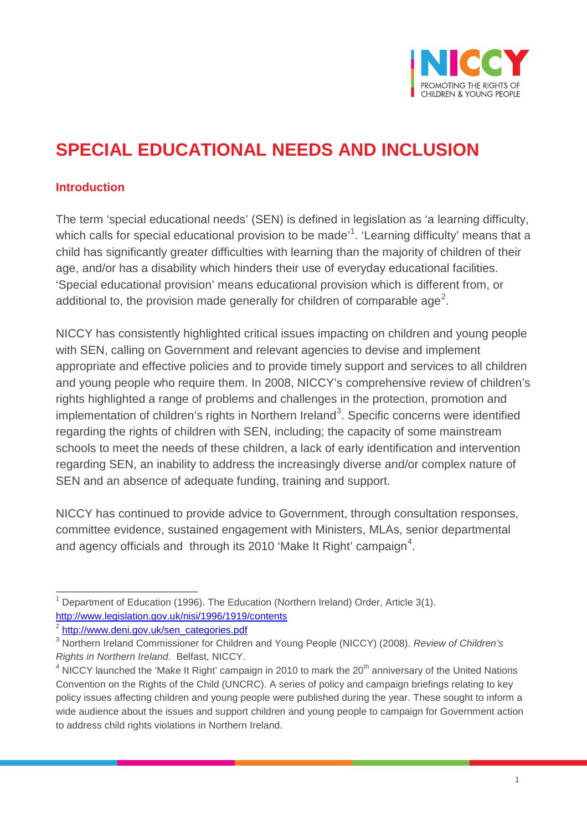

## **SPECIAL EDUCATIONAL NEEDS AND INCLUSION**

## **Introduction**

The term 'special educational needs' (SEN) is defined in legislation as 'a learning difficulty, which calls for special educational provision to be made'<sup>[1](#page-0-0)</sup>. 'Learning difficulty' means that a child has significantly greater difficulties with learning than the majority of children of their age, and/or has a disability which hinders their use of everyday educational facilities. 'Special educational provision' means educational provision which is different from, or additional to, the provision made generally for children of comparable age<sup>[2](#page-0-1)</sup>.

NICCY has consistently highlighted critical issues impacting on children and young people with SEN, calling on Government and relevant agencies to devise and implement appropriate and effective policies and to provide timely support and services to all children and young people who require them. In 2008, NICCY's comprehensive review of children's rights highlighted a range of problems and challenges in the protection, promotion and implementation of children's rights in Northern Ireland<sup>[3](#page-0-2)</sup>. Specific concerns were identified regarding the rights of children with SEN, including; the capacity of some mainstream schools to meet the needs of these children, a lack of early identification and intervention regarding SEN, an inability to address the increasingly diverse and/or complex nature of SEN and an absence of adequate funding, training and support.

NICCY has continued to provide advice to Government, through consultation responses, committee evidence, sustained engagement with Ministers, MLAs, senior departmental and agency officials and  $\,$  through its 2010 'Make It Right' campaign $^{4}.$  $^{4}.$  $^{4}.$ 

<span id="page-0-0"></span> $1$  Department of Education (1996). The Education (Northern Ireland) Order, Article 3(1). <http://www.legislation.gov.uk/nisi/1996/1919/contents>

<span id="page-0-1"></span><sup>2</sup> [http://www.deni.gov.uk/sen\\_categories.pdf](http://www.deni.gov.uk/sen_categories.pdf)

<span id="page-0-2"></span><sup>3</sup> Northern Ireland Commissioner for Children and Young People (NICCY) (2008). *Review of Children's Rights in Northern Ireland*. Belfast, NICCY.

<span id="page-0-3"></span> $4$  NICCY launched the 'Make It Right' campaign in 2010 to mark the  $20<sup>th</sup>$  anniversary of the United Nations Convention on the Rights of the Child (UNCRC). A series of policy and campaign briefings relating to key policy issues affecting children and young people were published during the year. These sought to inform a wide audience about the issues and support children and young people to campaign for Government action to address child rights violations in Northern Ireland.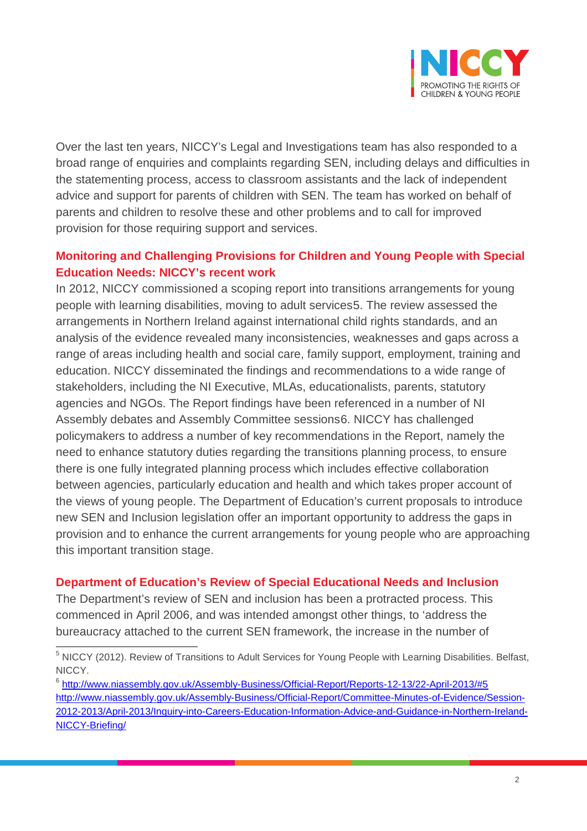

Over the last ten years, NICCY's Legal and Investigations team has also responded to a broad range of enquiries and complaints regarding SEN, including delays and difficulties in the statementing process, access to classroom assistants and the lack of independent advice and support for parents of children with SEN. The team has worked on behalf of parents and children to resolve these and other problems and to call for improved provision for those requiring support and services.

## **Monitoring and Challenging Provisions for Children and Young People with Special Education Needs: NICCY's recent work**

In 2012, NICCY commissioned a scoping report into transitions arrangements for young people with learning disabilities, moving to adult services[5.](#page-1-0) The review assessed the arrangements in Northern Ireland against international child rights standards, and an analysis of the evidence revealed many inconsistencies, weaknesses and gaps across a range of areas including health and social care, family support, employment, training and education. NICCY disseminated the findings and recommendations to a wide range of stakeholders, including the NI Executive, MLAs, educationalists, parents, statutory agencies and NGOs. The Report findings have been referenced in a number of NI Assembly debates and Assembly Committee sessions[6.](#page-1-1) NICCY has challenged policymakers to address a number of key recommendations in the Report, namely the need to enhance statutory duties regarding the transitions planning process, to ensure there is one fully integrated planning process which includes effective collaboration between agencies, particularly education and health and which takes proper account of the views of young people. The Department of Education's current proposals to introduce new SEN and Inclusion legislation offer an important opportunity to address the gaps in provision and to enhance the current arrangements for young people who are approaching this important transition stage.

## **Department of Education's Review of Special Educational Needs and Inclusion**

The Department's review of SEN and inclusion has been a protracted process. This commenced in April 2006, and was intended amongst other things, to 'address the bureaucracy attached to the current SEN framework, the increase in the number of

<span id="page-1-0"></span><sup>5</sup> NICCY (2012). Review of Transitions to Adult Services for Young People with Learning Disabilities. Belfast, NICCY.

<span id="page-1-1"></span><sup>6</sup> <http://www.niassembly.gov.uk/Assembly-Business/Official-Report/Reports-12-13/22-April-2013/#5> [http://www.niassembly.gov.uk/Assembly-Business/Official-Report/Committee-Minutes-of-Evidence/Session-](http://www.niassembly.gov.uk/Assembly-Business/Official-Report/Committee-Minutes-of-Evidence/Session-2012-2013/April-2013/Inquiry-into-Careers-Education-Information-Advice-and-Guidance-in-Northern-Ireland-NICCY-Briefing/)[2012-2013/April-2013/Inquiry-into-Careers-Education-Information-Advice-and-Guidance-in-Northern-Ireland-](http://www.niassembly.gov.uk/Assembly-Business/Official-Report/Committee-Minutes-of-Evidence/Session-2012-2013/April-2013/Inquiry-into-Careers-Education-Information-Advice-and-Guidance-in-Northern-Ireland-NICCY-Briefing/)[NICCY-Briefing/](http://www.niassembly.gov.uk/Assembly-Business/Official-Report/Committee-Minutes-of-Evidence/Session-2012-2013/April-2013/Inquiry-into-Careers-Education-Information-Advice-and-Guidance-in-Northern-Ireland-NICCY-Briefing/)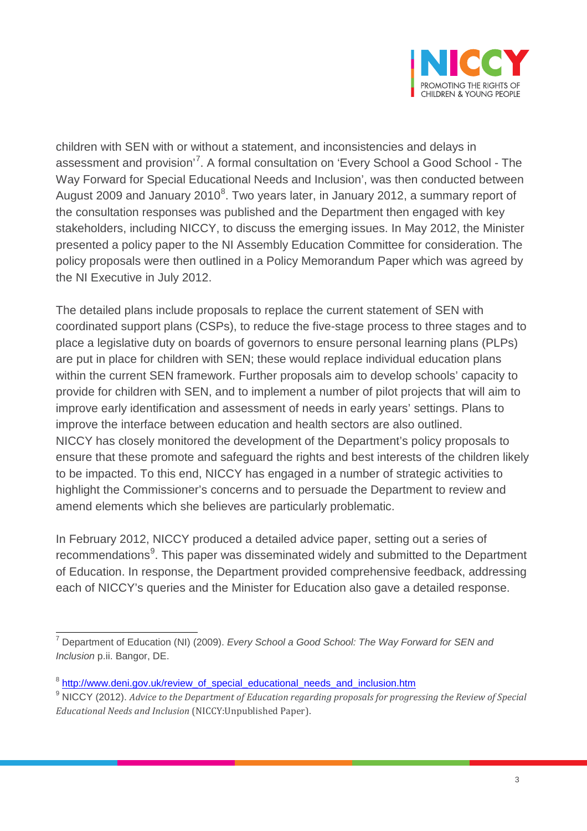

children with SEN with or without a statement, and inconsistencies and delays in assessment and provision'<sup>[7](#page-2-0)</sup>. A formal consultation on 'Every School a Good School - The Way Forward for Special Educational Needs and Inclusion', was then conducted between August 2009 and January 2010<sup>[8](#page-2-1)</sup>. Two years later, in January 2012, a summary report of the consultation responses was published and the Department then engaged with key stakeholders, including NICCY, to discuss the emerging issues. In May 2012, the Minister presented a policy paper to the NI Assembly Education Committee for consideration. The policy proposals were then outlined in a Policy Memorandum Paper which was agreed by the NI Executive in July 2012.

The detailed plans include proposals to replace the current statement of SEN with coordinated support plans (CSPs), to reduce the five-stage process to three stages and to place a legislative duty on boards of governors to ensure personal learning plans (PLPs) are put in place for children with SEN; these would replace individual education plans within the current SEN framework. Further proposals aim to develop schools' capacity to provide for children with SEN, and to implement a number of pilot projects that will aim to improve early identification and assessment of needs in early years' settings. Plans to improve the interface between education and health sectors are also outlined. NICCY has closely monitored the development of the Department's policy proposals to ensure that these promote and safeguard the rights and best interests of the children likely to be impacted. To this end, NICCY has engaged in a number of strategic activities to highlight the Commissioner's concerns and to persuade the Department to review and amend elements which she believes are particularly problematic.

In February 2012, NICCY produced a detailed advice paper, setting out a series of recommendations<sup>[9](#page-2-2)</sup>. This paper was disseminated widely and submitted to the Department of Education. In response, the Department provided comprehensive feedback, addressing each of NICCY's queries and the Minister for Education also gave a detailed response.

<span id="page-2-0"></span><sup>7</sup> Department of Education (NI) (2009). *[Every School a Good School: The Way Forward for SEN and](http://www.deni.gov.uk/every_school_a_good_school__the_way_forward_for_special_educational_needs__sen__and_inclusion___8211__consultation_document)  Inclusion* p.ii. [Bangor, DE.](http://www.deni.gov.uk/every_school_a_good_school__the_way_forward_for_special_educational_needs__sen__and_inclusion___8211__consultation_document)

<span id="page-2-1"></span><sup>&</sup>lt;sup>8</sup> [http://www.deni.gov.uk/review\\_of\\_special\\_educational\\_needs\\_and\\_inclusion.htm](http://www.deni.gov.uk/review_of_special_educational_needs_and_inclusion.htm)

<span id="page-2-2"></span><sup>9</sup> NICCY (2012). *Advice to the Department of Education regarding proposals for progressing the Review of Special Educational Needs and Inclusion* (NICCY:Unpublished Paper).